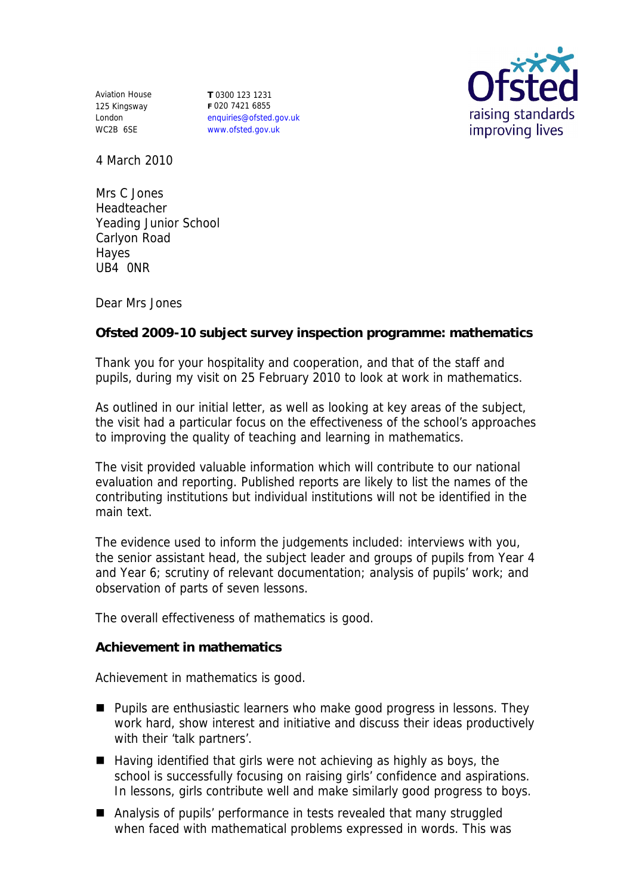Aviation House 125 Kingsway London WC2B 6SE

**T** 0300 123 1231 **F** 020 7421 6855 enquiries@ofsted.gov.uk www.ofsted.gov.uk



4 March 2010

Mrs C Jones Headteacher Yeading Junior School Carlyon Road Hayes UB4 0NR

Dear Mrs Jones

**Ofsted 2009-10 subject survey inspection programme: mathematics**

Thank you for your hospitality and cooperation, and that of the staff and pupils, during my visit on 25 February 2010 to look at work in mathematics.

As outlined in our initial letter, as well as looking at key areas of the subject, the visit had a particular focus on the effectiveness of the school's approaches to improving the quality of teaching and learning in mathematics.

The visit provided valuable information which will contribute to our national evaluation and reporting. Published reports are likely to list the names of the contributing institutions but individual institutions will not be identified in the main text.

The evidence used to inform the judgements included: interviews with you, the senior assistant head, the subject leader and groups of pupils from Year 4 and Year 6; scrutiny of relevant documentation; analysis of pupils' work; and observation of parts of seven lessons.

The overall effectiveness of mathematics is good.

**Achievement in mathematics**

Achievement in mathematics is good.

- $\blacksquare$  Pupils are enthusiastic learners who make good progress in lessons. They work hard, show interest and initiative and discuss their ideas productively with their 'talk partners'.
- $\blacksquare$  Having identified that girls were not achieving as highly as boys, the school is successfully focusing on raising girls' confidence and aspirations. In lessons, girls contribute well and make similarly good progress to boys.
- Analysis of pupils' performance in tests revealed that many struggled when faced with mathematical problems expressed in words. This was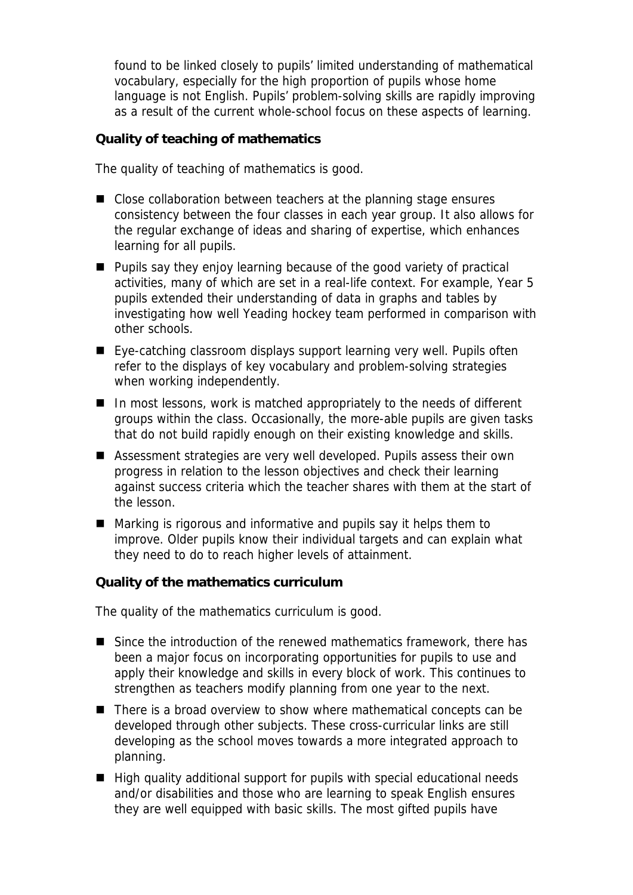found to be linked closely to pupils' limited understanding of mathematical vocabulary, especially for the high proportion of pupils whose home language is not English. Pupils' problem-solving skills are rapidly improving as a result of the current whole-school focus on these aspects of learning.

**Quality of teaching of mathematics**

The quality of teaching of mathematics is good.

- Close collaboration between teachers at the planning stage ensures consistency between the four classes in each year group. It also allows for the regular exchange of ideas and sharing of expertise, which enhances learning for all pupils.
- **Pupils say they enjoy learning because of the good variety of practical** activities, many of which are set in a real-life context. For example, Year 5 pupils extended their understanding of data in graphs and tables by investigating how well Yeading hockey team performed in comparison with other schools.
- Eye-catching classroom displays support learning very well. Pupils often refer to the displays of key vocabulary and problem-solving strategies when working independently.
- $\blacksquare$  In most lessons, work is matched appropriately to the needs of different groups within the class. Occasionally, the more-able pupils are given tasks that do not build rapidly enough on their existing knowledge and skills.
- Assessment strategies are very well developed. Pupils assess their own progress in relation to the lesson objectives and check their learning against success criteria which the teacher shares with them at the start of the lesson.
- Marking is rigorous and informative and pupils say it helps them to improve. Older pupils know their individual targets and can explain what they need to do to reach higher levels of attainment.

**Quality of the mathematics curriculum**

The quality of the mathematics curriculum is good.

- Since the introduction of the renewed mathematics framework, there has been a major focus on incorporating opportunities for pupils to use and apply their knowledge and skills in every block of work. This continues to strengthen as teachers modify planning from one year to the next.
- There is a broad overview to show where mathematical concepts can be developed through other subjects. These cross-curricular links are still developing as the school moves towards a more integrated approach to planning.
- $\blacksquare$  High quality additional support for pupils with special educational needs and/or disabilities and those who are learning to speak English ensures they are well equipped with basic skills. The most gifted pupils have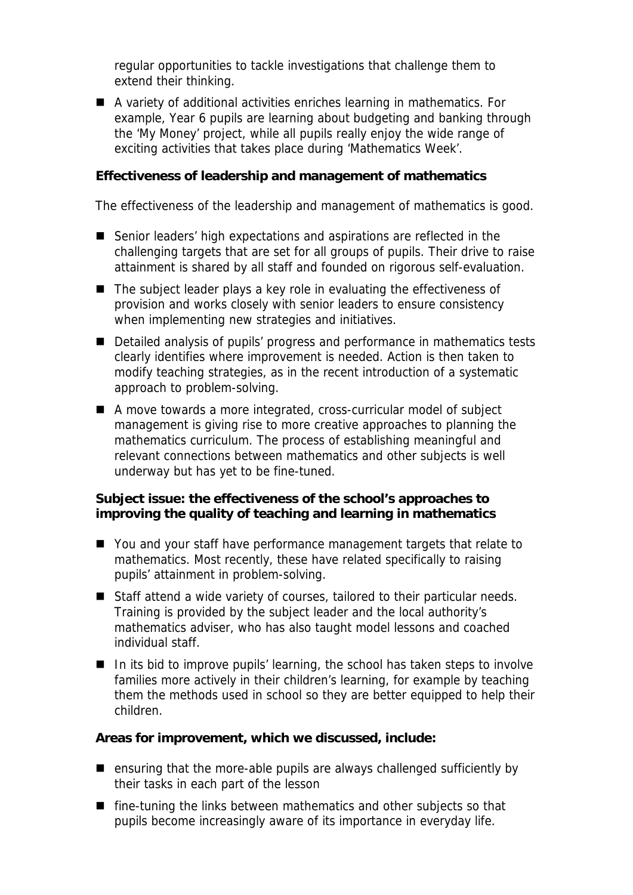regular opportunities to tackle investigations that challenge them to extend their thinking.

■ A variety of additional activities enriches learning in mathematics. For example, Year 6 pupils are learning about budgeting and banking through the 'My Money' project, while all pupils really enjoy the wide range of exciting activities that takes place during 'Mathematics Week'.

**Effectiveness of leadership and management of mathematics**

The effectiveness of the leadership and management of mathematics is good.

- Senior leaders' high expectations and aspirations are reflected in the challenging targets that are set for all groups of pupils. Their drive to raise attainment is shared by all staff and founded on rigorous self-evaluation.
- The subject leader plays a key role in evaluating the effectiveness of provision and works closely with senior leaders to ensure consistency when implementing new strategies and initiatives.
- Detailed analysis of pupils' progress and performance in mathematics tests clearly identifies where improvement is needed. Action is then taken to modify teaching strategies, as in the recent introduction of a systematic approach to problem-solving.
- A move towards a more integrated, cross-curricular model of subject management is giving rise to more creative approaches to planning the mathematics curriculum. The process of establishing meaningful and relevant connections between mathematics and other subjects is well underway but has yet to be fine-tuned.

**Subject issue: the effectiveness of the school's approaches to improving the quality of teaching and learning in mathematics**

- You and your staff have performance management targets that relate to mathematics. Most recently, these have related specifically to raising pupils' attainment in problem-solving.
- Staff attend a wide variety of courses, tailored to their particular needs. Training is provided by the subject leader and the local authority's mathematics adviser, who has also taught model lessons and coached individual staff.
- $\blacksquare$  In its bid to improve pupils' learning, the school has taken steps to involve families more actively in their children's learning, for example by teaching them the methods used in school so they are better equipped to help their children.

**Areas for improvement, which we discussed, include:**

- ensuring that the more-able pupils are always challenged sufficiently by their tasks in each part of the lesson
- fine-tuning the links between mathematics and other subjects so that pupils become increasingly aware of its importance in everyday life.